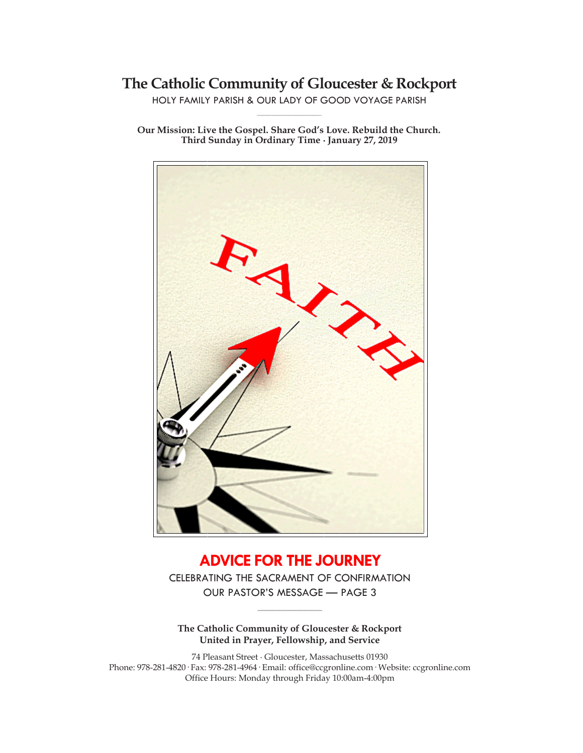# **The Catholic Community of Gloucester & Rockport**

HOLY FAMILY PARISH & OUR LADY OF GOOD VOYAGE PARISH **\_\_\_\_\_\_\_\_\_\_\_\_\_\_\_\_\_\_\_\_\_\_\_\_\_\_\_\_\_**

**Our Mission: Live the Gospel. Share God's Love. Rebuild the Church. Third Sunday in Ordinary Time ∙ January 27, 2019**



# **ADVICE FOR THE JOURNEY**

CELEBRATING THE SACRAMENT OF CONFIRMATION OUR PASTOR'S MESSAGE — PAGE 3

**\_\_\_\_\_\_\_\_\_\_\_\_\_\_\_\_\_\_\_\_\_\_\_\_\_\_\_\_\_**

**The Catholic Community of Gloucester & Rockport United in Prayer, Fellowship, and Service**

74 Pleasant Street ∙ Gloucester, Massachusetts 01930 Phone: 978-281-4820· Fax: 978-281-4964· Email: office@ccgronline.com· Website: ccgronline.com Office Hours: Monday through Friday 10:00am-4:00pm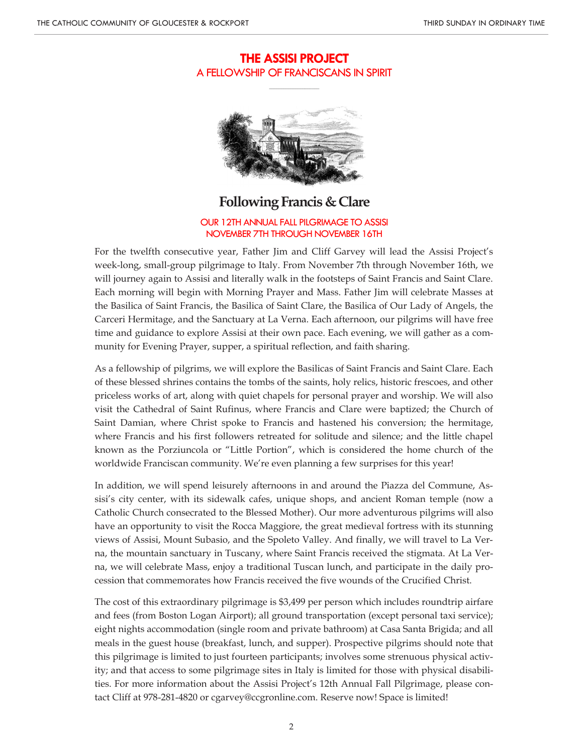# **THE ASSISI PROJECT** A FELLOWSHIP OF FRANCISCANS IN SPIRIT

**\_\_\_\_\_\_\_\_\_\_\_\_\_\_\_\_\_\_\_\_\_**



# **Following Francis & Clare**

OUR 12TH ANNUAL FALL PILGRIMAGE TO ASSISI NOVEMBER 7TH THROUGH NOVEMBER 16TH

For the twelfth consecutive year, Father Jim and Cliff Garvey will lead the Assisi Project's week-long, small-group pilgrimage to Italy. From November 7th through November 16th, we will journey again to Assisi and literally walk in the footsteps of Saint Francis and Saint Clare. Each morning will begin with Morning Prayer and Mass. Father Jim will celebrate Masses at the Basilica of Saint Francis, the Basilica of Saint Clare, the Basilica of Our Lady of Angels, the Carceri Hermitage, and the Sanctuary at La Verna. Each afternoon, our pilgrims will have free time and guidance to explore Assisi at their own pace. Each evening, we will gather as a community for Evening Prayer, supper, a spiritual reflection, and faith sharing.

As a fellowship of pilgrims, we will explore the Basilicas of Saint Francis and Saint Clare. Each of these blessed shrines contains the tombs of the saints, holy relics, historic frescoes, and other priceless works of art, along with quiet chapels for personal prayer and worship. We will also visit the Cathedral of Saint Rufinus, where Francis and Clare were baptized; the Church of Saint Damian, where Christ spoke to Francis and hastened his conversion; the hermitage, where Francis and his first followers retreated for solitude and silence; and the little chapel known as the Porziuncola or "Little Portion", which is considered the home church of the worldwide Franciscan community. We're even planning a few surprises for this year!

In addition, we will spend leisurely afternoons in and around the Piazza del Commune, Assisi's city center, with its sidewalk cafes, unique shops, and ancient Roman temple (now a Catholic Church consecrated to the Blessed Mother). Our more adventurous pilgrims will also have an opportunity to visit the Rocca Maggiore, the great medieval fortress with its stunning views of Assisi, Mount Subasio, and the Spoleto Valley. And finally, we will travel to La Verna, the mountain sanctuary in Tuscany, where Saint Francis received the stigmata. At La Verna, we will celebrate Mass, enjoy a traditional Tuscan lunch, and participate in the daily procession that commemorates how Francis received the five wounds of the Crucified Christ.

The cost of this extraordinary pilgrimage is \$3,499 per person which includes roundtrip airfare and fees (from Boston Logan Airport); all ground transportation (except personal taxi service); eight nights accommodation (single room and private bathroom) at Casa Santa Brigida; and all meals in the guest house (breakfast, lunch, and supper). Prospective pilgrims should note that this pilgrimage is limited to just fourteen participants; involves some strenuous physical activity; and that access to some pilgrimage sites in Italy is limited for those with physical disabilities. For more information about the Assisi Project's 12th Annual Fall Pilgrimage, please contact Cliff at 978-281-4820 or cgarvey@ccgronline.com. Reserve now! Space is limited!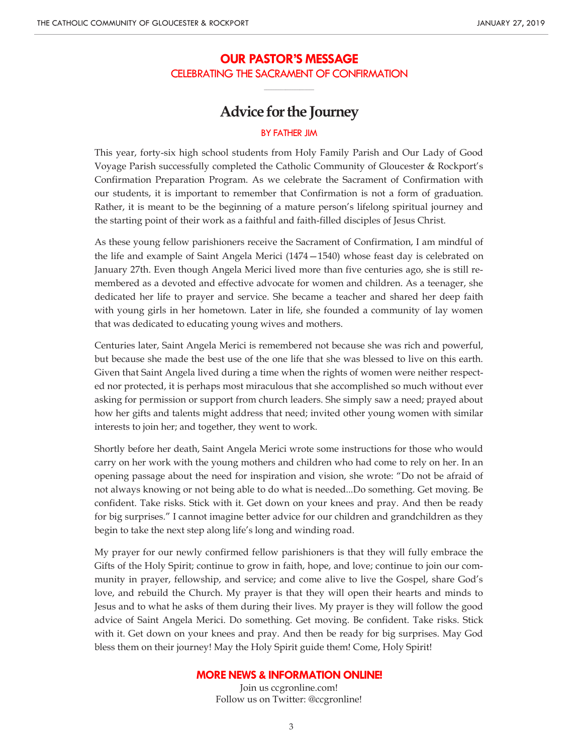# **OUR PASTOR'S MESSAGE** CELEBRATING THE SACRAMENT OF CONFIRMATION

**\_\_\_\_\_\_\_\_\_\_\_\_\_\_\_\_\_\_\_\_\_**

# **Advice for the Journey**

### BY FATHER JIM

This year, forty-six high school students from Holy Family Parish and Our Lady of Good Voyage Parish successfully completed the Catholic Community of Gloucester & Rockport's Confirmation Preparation Program. As we celebrate the Sacrament of Confirmation with our students, it is important to remember that Confirmation is not a form of graduation. Rather, it is meant to be the beginning of a mature person's lifelong spiritual journey and the starting point of their work as a faithful and faith-filled disciples of Jesus Christ.

As these young fellow parishioners receive the Sacrament of Confirmation, I am mindful of the life and example of Saint Angela Merici (1474—1540) whose feast day is celebrated on January 27th. Even though Angela Merici lived more than five centuries ago, she is still remembered as a devoted and effective advocate for women and children. As a teenager, she dedicated her life to prayer and service. She became a teacher and shared her deep faith with young girls in her hometown. Later in life, she founded a community of lay women that was dedicated to educating young wives and mothers.

Centuries later, Saint Angela Merici is remembered not because she was rich and powerful, but because she made the best use of the one life that she was blessed to live on this earth. Given that Saint Angela lived during a time when the rights of women were neither respected nor protected, it is perhaps most miraculous that she accomplished so much without ever asking for permission or support from church leaders. She simply saw a need; prayed about how her gifts and talents might address that need; invited other young women with similar interests to join her; and together, they went to work.

Shortly before her death, Saint Angela Merici wrote some instructions for those who would carry on her work with the young mothers and children who had come to rely on her. In an opening passage about the need for inspiration and vision, she wrote: "Do not be afraid of not always knowing or not being able to do what is needed...Do something. Get moving. Be confident. Take risks. Stick with it. Get down on your knees and pray. And then be ready for big surprises." I cannot imagine better advice for our children and grandchildren as they begin to take the next step along life's long and winding road.

My prayer for our newly confirmed fellow parishioners is that they will fully embrace the Gifts of the Holy Spirit; continue to grow in faith, hope, and love; continue to join our community in prayer, fellowship, and service; and come alive to live the Gospel, share God's love, and rebuild the Church. My prayer is that they will open their hearts and minds to Jesus and to what he asks of them during their lives. My prayer is they will follow the good advice of Saint Angela Merici. Do something. Get moving. Be confident. Take risks. Stick with it. Get down on your knees and pray. And then be ready for big surprises. May God bless them on their journey! May the Holy Spirit guide them! Come, Holy Spirit!

### **MORE NEWS & INFORMATION ONLINE!**

Join us ccgronline.com! Follow us on Twitter: @ccgronline!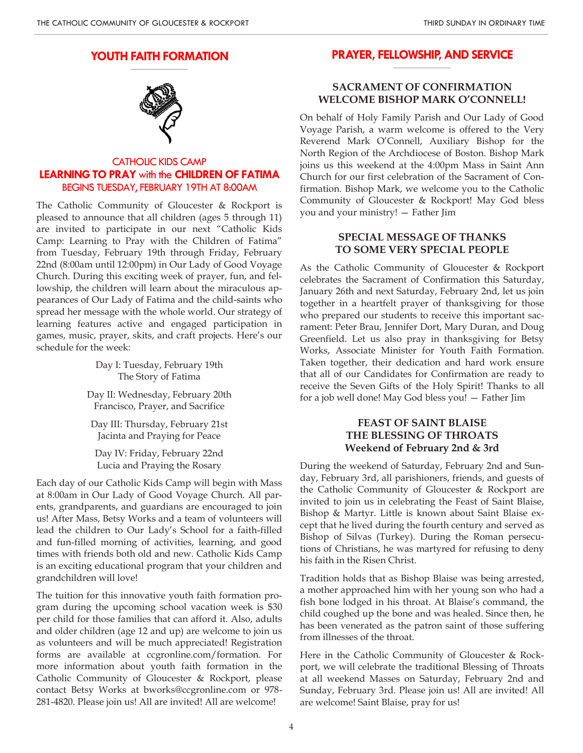#### **YOUTH FAITH FORMATION \_\_\_\_\_\_\_\_\_\_\_\_\_\_\_\_\_\_\_\_**

CATHOLIC KIDS CAMP **LEARNING TO PRAY** with the **CHILDREN OF FATIMA** BEGINS TUESDAY, FEBRUARY 19TH AT 8:00AM

The Catholic Community of Gloucester & Rockport is pleased to announce that all children (ages 5 through 11) are invited to participate in our next "Catholic Kids Camp: Learning to Pray with the Children of Fatima" from Tuesday, February 19th through Friday, February 22nd (8:00am until 12:00pm) in Our Lady of Good Voyage Church. During this exciting week of prayer, fun, and fellowship, the children will learn about the miraculous appearances of Our Lady of Fatima and the child-saints who spread her message with the whole world. Our strategy of learning features active and engaged participation in games, music, prayer, skits, and craft projects. Here's our schedule for the week:

> Day I: Tuesday, February 19th The Story of Fatima

Day II: Wednesday, February 20th Francisco, Prayer, and Sacrifice

Day III: Thursday, February 21st Jacinta and Praying for Peace

Day IV: Friday, February 22nd Lucia and Praying the Rosary

Each day of our Catholic Kids Camp will begin with Mass at 8:00am in Our Lady of Good Voyage Church. All parents, grandparents, and guardians are encouraged to join us! After Mass, Betsy Works and a team of volunteers will lead the children to Our Lady's School for a faith-filled and fun-filled morning of activities, learning, and good times with friends both old and new. Catholic Kids Camp is an exciting educational program that your children and grandchildren will love!

The tuition for this innovative youth faith formation program during the upcoming school vacation week is \$30 per child for those families that can afford it. Also, adults and older children (age 12 and up) are welcome to join us as volunteers and will be much appreciated! Registration forms are available at ccgronline.com/formation. For more information about youth faith formation in the Catholic Community of Gloucester & Rockport, please contact Betsy Works at bworks@ccgronline.com or 978- 281-4820. Please join us! All are invited! All are welcome!

#### **PRAYER, FELLOWSHIP, AND SERVICE \_\_\_\_\_\_\_\_\_\_\_\_\_\_\_\_\_\_\_\_**

# **SACRAMENT OF CONFIRMATION WELCOME BISHOP MARK O'CONNELL!**

On behalf of Holy Family Parish and Our Lady of Good Voyage Parish, a warm welcome is offered to the Very Reverend Mark O'Connell, Auxiliary Bishop for the North Region of the Archdiocese of Boston. Bishop Mark joins us this weekend at the 4:00pm Mass in Saint Ann Church for our first celebration of the Sacrament of Confirmation. Bishop Mark, we welcome you to the Catholic Community of Gloucester & Rockport! May God bless you and your ministry! — Father Jim

## **SPECIAL MESSAGE OF THANKS TO SOME VERY SPECIAL PEOPLE**

As the Catholic Community of Gloucester & Rockport celebrates the Sacrament of Confirmation this Saturday, January 26th and next Saturday, February 2nd, let us join together in a heartfelt prayer of thanksgiving for those who prepared our students to receive this important sacrament: Peter Brau, Jennifer Dort, Mary Duran, and Doug Greenfield. Let us also pray in thanksgiving for Betsy Works, Associate Minister for Youth Faith Formation. Taken together, their dedication and hard work ensure that all of our Candidates for Confirmation are ready to receive the Seven Gifts of the Holy Spirit! Thanks to all for a job well done! May God bless you! — Father Jim

# **FEAST OF SAINT BLAISE THE BLESSING OF THROATS Weekend of February 2nd & 3rd**

During the weekend of Saturday, February 2nd and Sunday, February 3rd, all parishioners, friends, and guests of the Catholic Community of Gloucester & Rockport are invited to join us in celebrating the Feast of Saint Blaise, Bishop & Martyr. Little is known about Saint Blaise except that he lived during the fourth century and served as Bishop of Silvas (Turkey). During the Roman persecutions of Christians, he was martyred for refusing to deny his faith in the Risen Christ.

Tradition holds that as Bishop Blaise was being arrested, a mother approached him with her young son who had a fish bone lodged in his throat. At Blaise's command, the child coughed up the bone and was healed. Since then, he has been venerated as the patron saint of those suffering from illnesses of the throat.

Here in the Catholic Community of Gloucester & Rockport, we will celebrate the traditional Blessing of Throats at all weekend Masses on Saturday, February 2nd and Sunday, February 3rd. Please join us! All are invited! All are welcome! Saint Blaise, pray for us!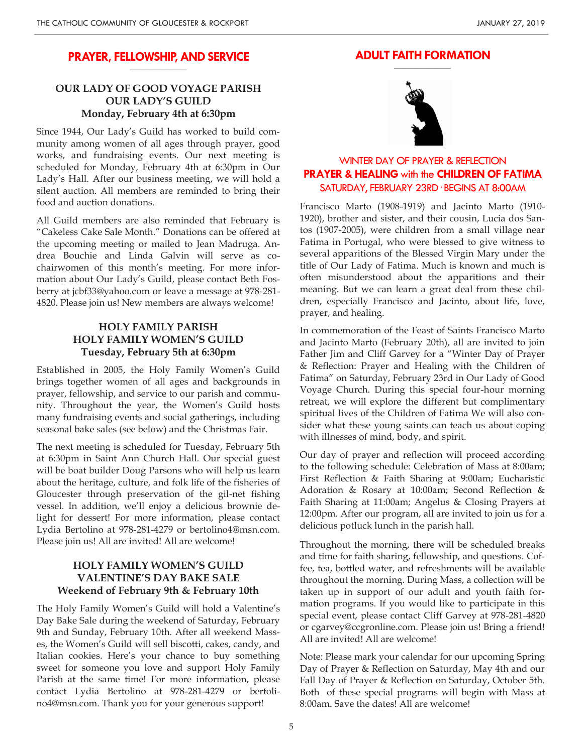#### **PRAYER, FELLOWSHIP, AND SERVICE \_\_\_\_\_\_\_\_\_\_\_\_\_\_\_\_\_\_\_\_**

# **OUR LADY OF GOOD VOYAGE PARISH OUR LADY'S GUILD Monday, February 4th at 6:30pm**

Since 1944, Our Lady's Guild has worked to build community among women of all ages through prayer, good works, and fundraising events. Our next meeting is scheduled for Monday, February 4th at 6:30pm in Our Lady's Hall. After our business meeting, we will hold a silent auction. All members are reminded to bring their food and auction donations.

All Guild members are also reminded that February is "Cakeless Cake Sale Month." Donations can be offered at the upcoming meeting or mailed to Jean Madruga. Andrea Bouchie and Linda Galvin will serve as cochairwomen of this month's meeting. For more information about Our Lady's Guild, please contact Beth Fosberry at jcbf33@yahoo.com or leave a message at 978-281- 4820. Please join us! New members are always welcome!

# **HOLY FAMILY PARISH HOLY FAMILY WOMEN'S GUILD Tuesday, February 5th at 6:30pm**

Established in 2005, the Holy Family Women's Guild brings together women of all ages and backgrounds in prayer, fellowship, and service to our parish and community. Throughout the year, the Women's Guild hosts many fundraising events and social gatherings, including seasonal bake sales (see below) and the Christmas Fair.

The next meeting is scheduled for Tuesday, February 5th at 6:30pm in Saint Ann Church Hall. Our special guest will be boat builder Doug Parsons who will help us learn about the heritage, culture, and folk life of the fisheries of Gloucester through preservation of the gil-net fishing vessel. In addition, we'll enjoy a delicious brownie delight for dessert! For more information, please contact Lydia Bertolino at 978-281-4279 or bertolino4@msn.com. Please join us! All are invited! All are welcome!

# **HOLY FAMILY WOMEN'S GUILD VALENTINE'S DAY BAKE SALE Weekend of February 9th & February 10th**

The Holy Family Women's Guild will hold a Valentine's Day Bake Sale during the weekend of Saturday, February 9th and Sunday, February 10th. After all weekend Masses, the Women's Guild will sell biscotti, cakes, candy, and Italian cookies. Here's your chance to buy something sweet for someone you love and support Holy Family Parish at the same time! For more information, please contact Lydia Bertolino at 978-281-4279 or bertolino4@msn.com. Thank you for your generous support!

#### **ADULT FAITH FORMATION \_\_\_\_\_\_\_\_\_\_\_\_\_\_\_\_\_\_\_\_**



# WINTER DAY OF PRAYER & REFLECTION **PRAYER & HEALING** with the **CHILDREN OF FATIMA** SATURDAY, FEBRUARY 23RD· BEGINS AT 8:00AM

Francisco Marto (1908-1919) and Jacinto Marto (1910- 1920), brother and sister, and their cousin, Lucia dos Santos (1907-2005), were children from a small village near Fatima in Portugal, who were blessed to give witness to several apparitions of the Blessed Virgin Mary under the title of Our Lady of Fatima. Much is known and much is often misunderstood about the apparitions and their meaning. But we can learn a great deal from these children, especially Francisco and Jacinto, about life, love, prayer, and healing.

In commemoration of the Feast of Saints Francisco Marto and Jacinto Marto (February 20th), all are invited to join Father Jim and Cliff Garvey for a "Winter Day of Prayer & Reflection: Prayer and Healing with the Children of Fatima" on Saturday, February 23rd in Our Lady of Good Voyage Church. During this special four-hour morning retreat, we will explore the different but complimentary spiritual lives of the Children of Fatima We will also consider what these young saints can teach us about coping with illnesses of mind, body, and spirit.

Our day of prayer and reflection will proceed according to the following schedule: Celebration of Mass at 8:00am; First Reflection & Faith Sharing at 9:00am; Eucharistic Adoration & Rosary at 10:00am; Second Reflection & Faith Sharing at 11:00am; Angelus & Closing Prayers at 12:00pm. After our program, all are invited to join us for a delicious potluck lunch in the parish hall.

Throughout the morning, there will be scheduled breaks and time for faith sharing, fellowship, and questions. Coffee, tea, bottled water, and refreshments will be available throughout the morning. During Mass, a collection will be taken up in support of our adult and youth faith formation programs. If you would like to participate in this special event, please contact Cliff Garvey at 978-281-4820 or cgarvey@ccgronline.com. Please join us! Bring a friend! All are invited! All are welcome!

Note: Please mark your calendar for our upcoming Spring Day of Prayer & Reflection on Saturday, May 4th and our Fall Day of Prayer & Reflection on Saturday, October 5th. Both of these special programs will begin with Mass at 8:00am. Save the dates! All are welcome!